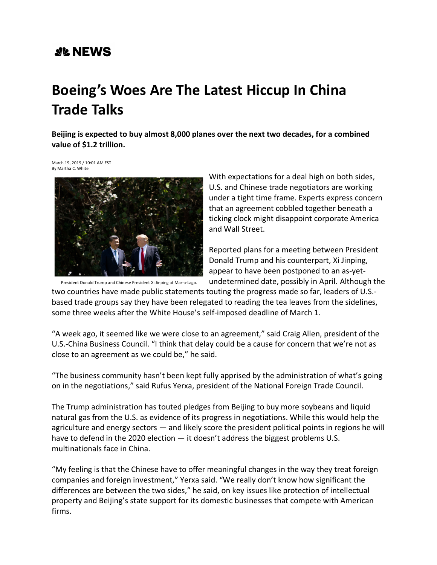## *SIL* NEWS

## **Boeing's Woes Are The Latest Hiccup In China Trade Talks**

**Beijing is expected to buy almost 8,000 planes over the next two decades, for a combined value of \$1.2 trillion.**

March 19, 2019 / 10:01 AM EST By Martha C. White



With expectations for a deal high on both sides, U.S. and Chinese trade negotiators are working under a tight time frame. Experts express concern that an agreement cobbled together beneath a ticking clock might disappoint corporate America and Wall Street.

Reported plans for a meeting between President Donald Trump and his counterpart, Xi Jinping, appear to have been postponed to an as-yet- President Donald Trump and Chinese President Xi Jinping at Mar-a-Lago. undetermined date, possibly in April. Although the

two countries have made public statements touting the progress made so far, leaders of U.S. based trade groups say they have been relegated to reading the tea leaves from the sidelines, some three weeks after the White House's self-imposed deadline of March 1.

"A week ago, it seemed like we were close to an agreement," said Craig Allen, president of the U.S.-China Business Council. "I think that delay could be a cause for concern that we're not as close to an agreement as we could be," he said.

"The business community hasn't been kept fully apprised by the administration of what's going on in the negotiations," said Rufus Yerxa, president of the National Foreign Trade Council.

The Trump administration has touted pledges from Beijing to buy more soybeans and liquid natural gas from the U.S. as evidence of its progress in negotiations. While this would help the agriculture and energy sectors — and likely score the president political points in regions he will have to defend in the 2020 election — it doesn't address the biggest problems U.S. multinationals face in China.

"My feeling is that the Chinese have to offer meaningful changes in the way they treat foreign companies and foreign investment," Yerxa said. "We really don't know how significant the differences are between the two sides," he said, on key issues like protection of intellectual property and Beijing's state support for its domestic businesses that compete with American firms.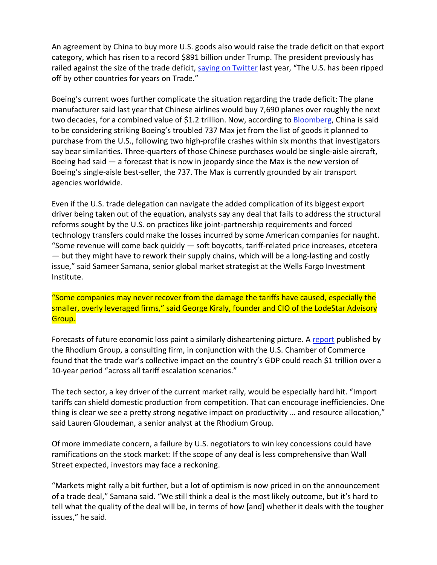An agreement by China to buy more U.S. goods also would raise the trade deficit on that export category, which has risen to a record \$891 billion under Trump. The president previously has railed against the size of the trade deficit, saying on Twitter last year, "The U.S. has been ripped off by other countries for years on Trade."

Boeing's current woes further complicate the situation regarding the trade deficit: The plane manufacturer said last year that Chinese airlines would buy 7,690 planes over roughly the next two decades, for a combined value of \$1.2 trillion. Now, according to Bloomberg, China is said to be considering striking Boeing's troubled 737 Max jet from the list of goods it planned to purchase from the U.S., following two high-profile crashes within six months that investigators say bear similarities. Three-quarters of those Chinese purchases would be single-aisle aircraft, Boeing had said — a forecast that is now in jeopardy since the Max is the new version of Boeing's single-aisle best-seller, the 737. The Max is currently grounded by air transport agencies worldwide.

Even if the U.S. trade delegation can navigate the added complication of its biggest export driver being taken out of the equation, analysts say any deal that fails to address the structural reforms sought by the U.S. on practices like joint-partnership requirements and forced technology transfers could make the losses incurred by some American companies for naught. "Some revenue will come back quickly — soft boycotts, tariff-related price increases, etcetera — but they might have to rework their supply chains, which will be a long-lasting and costly issue," said Sameer Samana, senior global market strategist at the Wells Fargo Investment Institute.

"Some companies may never recover from the damage the tariffs have caused, especially the smaller, overly leveraged firms," said George Kiraly, founder and CIO of the LodeStar Advisory Group.

Forecasts of future economic loss paint a similarly disheartening picture. A report published by the Rhodium Group, a consulting firm, in conjunction with the U.S. Chamber of Commerce found that the trade war's collective impact on the country's GDP could reach \$1 trillion over a 10-year period "across all tariff escalation scenarios."

The tech sector, a key driver of the current market rally, would be especially hard hit. "Import tariffs can shield domestic production from competition. That can encourage inefficiencies. One thing is clear we see a pretty strong negative impact on productivity … and resource allocation," said Lauren Gloudeman, a senior analyst at the Rhodium Group.

Of more immediate concern, a failure by U.S. negotiators to win key concessions could have ramifications on the stock market: If the scope of any deal is less comprehensive than Wall Street expected, investors may face a reckoning.

"Markets might rally a bit further, but a lot of optimism is now priced in on the announcement of a trade deal," Samana said. "We still think a deal is the most likely outcome, but it's hard to tell what the quality of the deal will be, in terms of how [and] whether it deals with the tougher issues," he said.